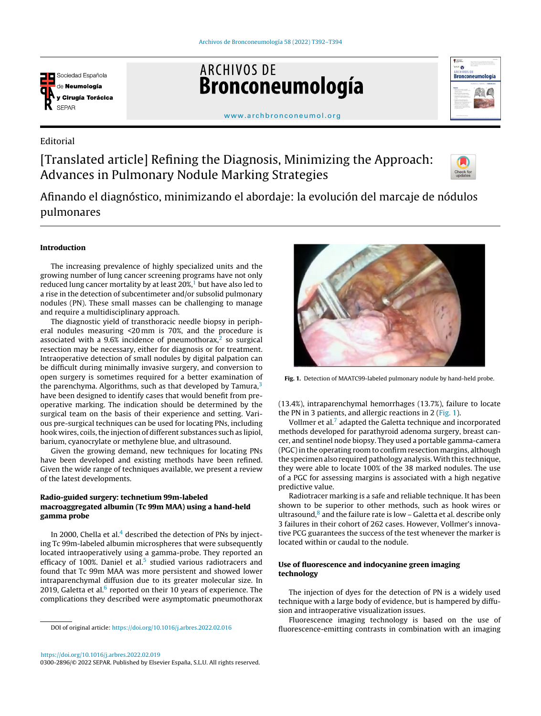

**ARCHIVOS DE** Bronconeumología



[www.archbronconeumol.org](http://www.archbronconeumol.org)

# Editorial

[Translated article] Refining the Diagnosis, Minimizing the Approach: Advances in Pulmonary Nodule Marking Strategies



Afinando el diagnóstico, minimizando el abordaje: la evolución del marcaje de nódulos pulmonares

## Introduction

The increasing prevalence of highly specialized units and the growing number of lung cancer screening programs have not only reduced lung cancer mortality [b](#page-1-0)y at least  $20\%,$ <sup>1</sup> but have also led to a rise in the detection of subcentimeter and/or subsolid pulmonary nodules (PN). These small masses can be challenging to manage and require a multidisciplinary approach.

The diagnostic yield of transthoracic needle biopsy in peripheral nodules measuring <20 mm is 70%, and the procedure is associated with a  $9.6\%$  incidence of pneumothorax,<sup>[2](#page-1-0)</sup> so surgical resection may be necessary, either for diagnosis or for treatment. Intraoperative detection of small nodules by digital palpation can be difficult during minimally invasive surgery, and conversion to open surgery is sometimes required for a better examination of the parenchyma. Algorithms, such as that developed by Tamura, $3$ have been designed to identify cases that would benefit from preoperative marking. The indication should be determined by the surgical team on the basis of their experience and setting. Various pre-surgical techniques can be used for locating PNs, including hook wires, coils, the injection of different substances such as lipiol, barium, cyanocrylate or methylene blue, and ultrasound.

Given the growing demand, new techniques for locating PNs have been developed and existing methods have been refined. Given the wide range of techniques available, we present a review of the latest developments.

## Radio-guided surgery: technetium 99m-labeled macroaggregated albumin (Tc 99m MAA) using a hand-held gamma probe

In 2000, Chella et al.<sup>4</sup> [d](#page-1-0)escribed the detection of PNs by injecting Tc 99m-labeled albumin microspheres that were subsequently located intraoperatively using a gamma-probe. They reported an efficacy of 100%. Daniel et al. $5$  studied various radiotracers and found that Tc 99m MAA was more persistent and showed lower intraparenchymal diffusion due to its greater molecular size. In 2019, Galetta et al. $6$  reported on their 10 years of experience. The complications they described were asymptomatic pneumothorax

DOI of original article: <https://doi.org/10.1016/j.arbres.2022.02.016>



0300-2896/© 2022 SEPAR. Published by Elsevier España, S.L.U. All rights reserved.



Fig. 1. Detection of MAATC99-labeled pulmonary nodule by hand-held probe.

(13.4%), intraparenchymal hemorrhages (13.7%), failure to locate the PN in 3 patients, and allergic reactions in 2 (Fig. 1).

Vollmer et al.<sup>[7](#page-1-0)</sup> adapted the Galetta technique and incorporated methods developed for parathyroid adenoma surgery, breast cancer, and sentinel node biopsy. They used a portable gamma-camera (PGC)in the operating room to confirm resection margins, although the specimen also required pathology analysis.With this technique, they were able to locate 100% of the 38 marked nodules. The use of a PGC for assessing margins is associated with a high negative predictive value.

Radiotracer marking is a safe and reliable technique. It has been shown to be superior to other methods, such as hook wires or ultrasound, $8$  and the failure rate is low – Galetta et al. describe only 3 failures in their cohort of 262 cases. However, Vollmer's innovative PCG guarantees the success of the test whenever the marker is located within or caudal to the nodule.

## Use of fluorescence and indocyanine green imaging technology

The injection of dyes for the detection of PN is a widely used technique with a large body of evidence, but is hampered by diffusion and intraoperative visualization issues.

Fluorescence imaging technology is based on the use of fluorescence-emitting contrasts in combination with an imaging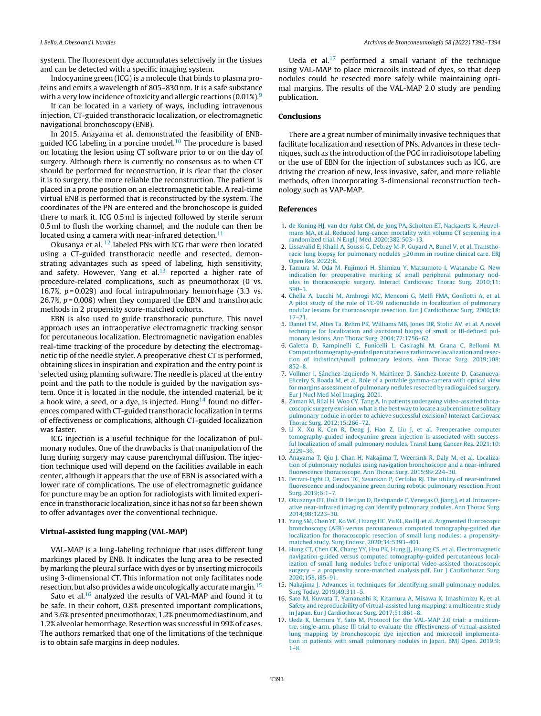<span id="page-1-0"></span>system. The fluorescent dye accumulates selectively in the tissues and can be detected with a specific imaging system.

Indocyanine green (ICG) is a molecule that binds to plasma proteins and emits a wavelength of 805–830 nm. It is a safe substance with a very low incidence of toxicity and allergic reactions  $(0.01\%)$ <sup>9</sup>

It can be located in a variety of ways, including intravenous injection, CT-guided transthoracic localization, or electromagnetic navigational bronchoscopy (ENB).

In 2015, Anayama et al. demonstrated the feasibility of ENBguided ICG labeling in a porcine model.<sup>10</sup> The procedure is based on locating the lesion using CT software prior to or on the day of surgery. Although there is currently no consensus as to when CT should be performed for reconstruction, it is clear that the closer it is to surgery, the more reliable the reconstruction. The patient is placed in a prone position on an electromagnetic table. A real-time virtual ENB is performed that is reconstructed by the system. The coordinates of the PN are entered and the bronchoscope is guided there to mark it. ICG 0.5 ml is injected followed by sterile serum 0.5 ml to flush the working channel, and the nodule can then be located using a camera with near-infrared detection. $11$ 

Okusanya et al.<sup>12</sup> labeled PNs with ICG that were then located using a CT-guided transthoracic needle and resected, demonstrating advantages such as speed of labeling, high sensitivity, and safety. However, Yang et al. $13$  reported a higher rate of procedure-related complications, such as pneumothorax (0 vs. 16.7%,  $p = 0.029$ ) and focal intrapulmonary hemorrhage (3.3 vs. 26.7%,  $p = 0.008$ ) when they compared the EBN and transthoracic methods in 2 propensity score-matched cohorts.

EBN is also used to guide transthoracic puncture. This novel approach uses an intraoperative electromagnetic tracking sensor for percutaneous localization. Electromagnetic navigation enables real-time tracking of the procedure by detecting the electromagnetic tip of the needle stylet. A preoperative chest CT is performed, obtaining slices in inspiration and expiration and the entry point is selected using planning software. The needle is placed at the entry point and the path to the nodule is guided by the navigation system. Once it is located in the nodule, the intended material, be it a hook wire, a seed, or a dye, is injected. Hung<sup>14</sup> found no differences compared with CT-guided transthoracic localization in terms of effectiveness or complications, although CT-guided localization was faster.

ICG injection is a useful technique for the localization of pulmonary nodules. One of the drawbacks is that manipulation of the lung during surgery may cause parenchymal diffusion. The injection technique used will depend on the facilities available in each center, although it appears that the use of EBN is associated with a lower rate of complications. The use of electromagnetic guidance for puncture may be an option for radiologists with limited experience in transthoracic localization, since it has not so far been shown to offer advantages over the conventional technique.

### Virtual-assisted lung mapping (VAL-MAP)

VAL-MAP is a lung-labeling technique that uses different lung markings placed by ENB. It indicates the lung area to be resected by marking the pleural surface with dyes or by inserting microcoils using 3-dimensional CT. This information not only facilitates node resection, but also provides a wide oncologically accurate margin.<sup>15</sup>

Sato et al. $16$  analyzed the results of VAL-MAP and found it to be safe. In their cohort, 0.8% presented important complications, and 3.6% presented pneumothorax, 1.2% pneumomediastinum, and 1.2% alveolar hemorrhage. Resection was successful in 99% of cases. The authors remarked that one of the limitations of the technique is to obtain safe margins in deep nodules.

Ueda et al. $17$  performed a small variant of the technique using VAL-MAP to place microcoils instead of dyes, so that deep nodules could be resected more safely while maintaining optimal margins. The results of the VAL-MAP 2.0 study are pending publication.

### Conclusions

There are a great number of minimally invasive techniques that facilitate localization and resection of PNs. Advances in these techniques, such as the introduction of the PGC in radioisotope labeling or the use of EBN for the injection of substances such as ICG, are driving the creation of new, less invasive, safer, and more reliable methods, often incorporating 3-dimensional reconstruction technology such as VAP-MAP.

#### References

- 1. [de](http://refhub.elsevier.com/S0300-2896(22)00331-3/sbref0090) [Koning](http://refhub.elsevier.com/S0300-2896(22)00331-3/sbref0090) [HJ,](http://refhub.elsevier.com/S0300-2896(22)00331-3/sbref0090) [van](http://refhub.elsevier.com/S0300-2896(22)00331-3/sbref0090) [der](http://refhub.elsevier.com/S0300-2896(22)00331-3/sbref0090) [Aalst](http://refhub.elsevier.com/S0300-2896(22)00331-3/sbref0090) [CM,](http://refhub.elsevier.com/S0300-2896(22)00331-3/sbref0090) [de](http://refhub.elsevier.com/S0300-2896(22)00331-3/sbref0090) [Jong](http://refhub.elsevier.com/S0300-2896(22)00331-3/sbref0090) [PA,](http://refhub.elsevier.com/S0300-2896(22)00331-3/sbref0090) [Scholten](http://refhub.elsevier.com/S0300-2896(22)00331-3/sbref0090) [ET,](http://refhub.elsevier.com/S0300-2896(22)00331-3/sbref0090) [Nackaerts](http://refhub.elsevier.com/S0300-2896(22)00331-3/sbref0090) [K,](http://refhub.elsevier.com/S0300-2896(22)00331-3/sbref0090) [Heuvel](http://refhub.elsevier.com/S0300-2896(22)00331-3/sbref0090)[mans](http://refhub.elsevier.com/S0300-2896(22)00331-3/sbref0090) [MA,](http://refhub.elsevier.com/S0300-2896(22)00331-3/sbref0090) [et](http://refhub.elsevier.com/S0300-2896(22)00331-3/sbref0090) [al.](http://refhub.elsevier.com/S0300-2896(22)00331-3/sbref0090) [Reduced](http://refhub.elsevier.com/S0300-2896(22)00331-3/sbref0090) [lung-cancer](http://refhub.elsevier.com/S0300-2896(22)00331-3/sbref0090) [mortality](http://refhub.elsevier.com/S0300-2896(22)00331-3/sbref0090) [with](http://refhub.elsevier.com/S0300-2896(22)00331-3/sbref0090) [volume](http://refhub.elsevier.com/S0300-2896(22)00331-3/sbref0090) [CT](http://refhub.elsevier.com/S0300-2896(22)00331-3/sbref0090) [screening](http://refhub.elsevier.com/S0300-2896(22)00331-3/sbref0090) [in](http://refhub.elsevier.com/S0300-2896(22)00331-3/sbref0090) [a](http://refhub.elsevier.com/S0300-2896(22)00331-3/sbref0090) [randomized](http://refhub.elsevier.com/S0300-2896(22)00331-3/sbref0090) [trial.](http://refhub.elsevier.com/S0300-2896(22)00331-3/sbref0090) [N](http://refhub.elsevier.com/S0300-2896(22)00331-3/sbref0090) [Engl](http://refhub.elsevier.com/S0300-2896(22)00331-3/sbref0090) [J](http://refhub.elsevier.com/S0300-2896(22)00331-3/sbref0090) [Med.](http://refhub.elsevier.com/S0300-2896(22)00331-3/sbref0090) [2020;382:503](http://refhub.elsevier.com/S0300-2896(22)00331-3/sbref0090)–[13.](http://refhub.elsevier.com/S0300-2896(22)00331-3/sbref0090)
- 2. [Lissavalid](http://refhub.elsevier.com/S0300-2896(22)00331-3/sbref0095) [E,](http://refhub.elsevier.com/S0300-2896(22)00331-3/sbref0095) [Khalil](http://refhub.elsevier.com/S0300-2896(22)00331-3/sbref0095) [A,](http://refhub.elsevier.com/S0300-2896(22)00331-3/sbref0095) [Soussi](http://refhub.elsevier.com/S0300-2896(22)00331-3/sbref0095) [G,](http://refhub.elsevier.com/S0300-2896(22)00331-3/sbref0095) [Debray](http://refhub.elsevier.com/S0300-2896(22)00331-3/sbref0095) [M-P,](http://refhub.elsevier.com/S0300-2896(22)00331-3/sbref0095) [Guyard](http://refhub.elsevier.com/S0300-2896(22)00331-3/sbref0095) [A,](http://refhub.elsevier.com/S0300-2896(22)00331-3/sbref0095) [Bunel](http://refhub.elsevier.com/S0300-2896(22)00331-3/sbref0095) [V,](http://refhub.elsevier.com/S0300-2896(22)00331-3/sbref0095) [et](http://refhub.elsevier.com/S0300-2896(22)00331-3/sbref0095) [al.](http://refhub.elsevier.com/S0300-2896(22)00331-3/sbref0095) [Transtho](http://refhub.elsevier.com/S0300-2896(22)00331-3/sbref0095)[racic](http://refhub.elsevier.com/S0300-2896(22)00331-3/sbref0095) [lung](http://refhub.elsevier.com/S0300-2896(22)00331-3/sbref0095) [biopsy](http://refhub.elsevier.com/S0300-2896(22)00331-3/sbref0095) [for](http://refhub.elsevier.com/S0300-2896(22)00331-3/sbref0095) [pulmonary](http://refhub.elsevier.com/S0300-2896(22)00331-3/sbref0095) [nodules](http://refhub.elsevier.com/S0300-2896(22)00331-3/sbref0095) [≤](http://refhub.elsevier.com/S0300-2896(22)00331-3/sbref0095)[20](http://refhub.elsevier.com/S0300-2896(22)00331-3/sbref0095) [mm](http://refhub.elsevier.com/S0300-2896(22)00331-3/sbref0095) [in](http://refhub.elsevier.com/S0300-2896(22)00331-3/sbref0095) [routine](http://refhub.elsevier.com/S0300-2896(22)00331-3/sbref0095) [clinical](http://refhub.elsevier.com/S0300-2896(22)00331-3/sbref0095) [care.](http://refhub.elsevier.com/S0300-2896(22)00331-3/sbref0095) [ERJ](http://refhub.elsevier.com/S0300-2896(22)00331-3/sbref0095) [Open](http://refhub.elsevier.com/S0300-2896(22)00331-3/sbref0095) [Res.](http://refhub.elsevier.com/S0300-2896(22)00331-3/sbref0095) [2022;8.](http://refhub.elsevier.com/S0300-2896(22)00331-3/sbref0095)
- 3. [Tamura](http://refhub.elsevier.com/S0300-2896(22)00331-3/sbref0100) [M,](http://refhub.elsevier.com/S0300-2896(22)00331-3/sbref0100) [Oda](http://refhub.elsevier.com/S0300-2896(22)00331-3/sbref0100) [M,](http://refhub.elsevier.com/S0300-2896(22)00331-3/sbref0100) [Fujimori](http://refhub.elsevier.com/S0300-2896(22)00331-3/sbref0100) [H,](http://refhub.elsevier.com/S0300-2896(22)00331-3/sbref0100) [Shimizu](http://refhub.elsevier.com/S0300-2896(22)00331-3/sbref0100) [Y,](http://refhub.elsevier.com/S0300-2896(22)00331-3/sbref0100) [Matsumoto](http://refhub.elsevier.com/S0300-2896(22)00331-3/sbref0100) [I,](http://refhub.elsevier.com/S0300-2896(22)00331-3/sbref0100) [Watanabe](http://refhub.elsevier.com/S0300-2896(22)00331-3/sbref0100) [G.](http://refhub.elsevier.com/S0300-2896(22)00331-3/sbref0100) [New](http://refhub.elsevier.com/S0300-2896(22)00331-3/sbref0100) [indication](http://refhub.elsevier.com/S0300-2896(22)00331-3/sbref0100) [for](http://refhub.elsevier.com/S0300-2896(22)00331-3/sbref0100) [preoperative](http://refhub.elsevier.com/S0300-2896(22)00331-3/sbref0100) [marking](http://refhub.elsevier.com/S0300-2896(22)00331-3/sbref0100) [of](http://refhub.elsevier.com/S0300-2896(22)00331-3/sbref0100) [small](http://refhub.elsevier.com/S0300-2896(22)00331-3/sbref0100) [peripheral](http://refhub.elsevier.com/S0300-2896(22)00331-3/sbref0100) [pulmonary](http://refhub.elsevier.com/S0300-2896(22)00331-3/sbref0100) [nod](http://refhub.elsevier.com/S0300-2896(22)00331-3/sbref0100)[ules](http://refhub.elsevier.com/S0300-2896(22)00331-3/sbref0100) [in](http://refhub.elsevier.com/S0300-2896(22)00331-3/sbref0100) [thoracoscopic](http://refhub.elsevier.com/S0300-2896(22)00331-3/sbref0100) [surgery.](http://refhub.elsevier.com/S0300-2896(22)00331-3/sbref0100) [Interact](http://refhub.elsevier.com/S0300-2896(22)00331-3/sbref0100) [Cardiovasc](http://refhub.elsevier.com/S0300-2896(22)00331-3/sbref0100) [Thorac](http://refhub.elsevier.com/S0300-2896(22)00331-3/sbref0100) [Surg.](http://refhub.elsevier.com/S0300-2896(22)00331-3/sbref0100) [2010;11:](http://refhub.elsevier.com/S0300-2896(22)00331-3/sbref0100) [590](http://refhub.elsevier.com/S0300-2896(22)00331-3/sbref0100)–[3.](http://refhub.elsevier.com/S0300-2896(22)00331-3/sbref0100)
- 4. [Chella](http://refhub.elsevier.com/S0300-2896(22)00331-3/sbref0105) [A,](http://refhub.elsevier.com/S0300-2896(22)00331-3/sbref0105) [Lucchi](http://refhub.elsevier.com/S0300-2896(22)00331-3/sbref0105) [M,](http://refhub.elsevier.com/S0300-2896(22)00331-3/sbref0105) [Ambrogi](http://refhub.elsevier.com/S0300-2896(22)00331-3/sbref0105) [MC,](http://refhub.elsevier.com/S0300-2896(22)00331-3/sbref0105) [Menconi](http://refhub.elsevier.com/S0300-2896(22)00331-3/sbref0105) [G,](http://refhub.elsevier.com/S0300-2896(22)00331-3/sbref0105) [Melfi](http://refhub.elsevier.com/S0300-2896(22)00331-3/sbref0105) [FMA,](http://refhub.elsevier.com/S0300-2896(22)00331-3/sbref0105) [Gonfiotti](http://refhub.elsevier.com/S0300-2896(22)00331-3/sbref0105) [A,](http://refhub.elsevier.com/S0300-2896(22)00331-3/sbref0105) [et](http://refhub.elsevier.com/S0300-2896(22)00331-3/sbref0105) [al.](http://refhub.elsevier.com/S0300-2896(22)00331-3/sbref0105) [A](http://refhub.elsevier.com/S0300-2896(22)00331-3/sbref0105) [pilot](http://refhub.elsevier.com/S0300-2896(22)00331-3/sbref0105) [study](http://refhub.elsevier.com/S0300-2896(22)00331-3/sbref0105) [of](http://refhub.elsevier.com/S0300-2896(22)00331-3/sbref0105) [the](http://refhub.elsevier.com/S0300-2896(22)00331-3/sbref0105) [role](http://refhub.elsevier.com/S0300-2896(22)00331-3/sbref0105) [of](http://refhub.elsevier.com/S0300-2896(22)00331-3/sbref0105) [TC-99](http://refhub.elsevier.com/S0300-2896(22)00331-3/sbref0105) [radionuclide](http://refhub.elsevier.com/S0300-2896(22)00331-3/sbref0105) [in](http://refhub.elsevier.com/S0300-2896(22)00331-3/sbref0105) [localization](http://refhub.elsevier.com/S0300-2896(22)00331-3/sbref0105) [of](http://refhub.elsevier.com/S0300-2896(22)00331-3/sbref0105) [pulmonary](http://refhub.elsevier.com/S0300-2896(22)00331-3/sbref0105) [nodular](http://refhub.elsevier.com/S0300-2896(22)00331-3/sbref0105) [lesions](http://refhub.elsevier.com/S0300-2896(22)00331-3/sbref0105) [for](http://refhub.elsevier.com/S0300-2896(22)00331-3/sbref0105) [thoracoscopic](http://refhub.elsevier.com/S0300-2896(22)00331-3/sbref0105) [resection.](http://refhub.elsevier.com/S0300-2896(22)00331-3/sbref0105) [Eur](http://refhub.elsevier.com/S0300-2896(22)00331-3/sbref0105) [J](http://refhub.elsevier.com/S0300-2896(22)00331-3/sbref0105) [Cardiothorac](http://refhub.elsevier.com/S0300-2896(22)00331-3/sbref0105) [Surg.](http://refhub.elsevier.com/S0300-2896(22)00331-3/sbref0105) [2000;18:](http://refhub.elsevier.com/S0300-2896(22)00331-3/sbref0105) [17–21.](http://refhub.elsevier.com/S0300-2896(22)00331-3/sbref0105)
- 5. [Daniel](http://refhub.elsevier.com/S0300-2896(22)00331-3/sbref0110) [TM,](http://refhub.elsevier.com/S0300-2896(22)00331-3/sbref0110) [Altes](http://refhub.elsevier.com/S0300-2896(22)00331-3/sbref0110) [Ta,](http://refhub.elsevier.com/S0300-2896(22)00331-3/sbref0110) [Rehm](http://refhub.elsevier.com/S0300-2896(22)00331-3/sbref0110) [PK,](http://refhub.elsevier.com/S0300-2896(22)00331-3/sbref0110) [Williams](http://refhub.elsevier.com/S0300-2896(22)00331-3/sbref0110) [MB,](http://refhub.elsevier.com/S0300-2896(22)00331-3/sbref0110) [Jones](http://refhub.elsevier.com/S0300-2896(22)00331-3/sbref0110) [DR,](http://refhub.elsevier.com/S0300-2896(22)00331-3/sbref0110) [Stolin](http://refhub.elsevier.com/S0300-2896(22)00331-3/sbref0110) [AV,](http://refhub.elsevier.com/S0300-2896(22)00331-3/sbref0110) [et](http://refhub.elsevier.com/S0300-2896(22)00331-3/sbref0110) [al.](http://refhub.elsevier.com/S0300-2896(22)00331-3/sbref0110) [A](http://refhub.elsevier.com/S0300-2896(22)00331-3/sbref0110) [novel](http://refhub.elsevier.com/S0300-2896(22)00331-3/sbref0110) [technique](http://refhub.elsevier.com/S0300-2896(22)00331-3/sbref0110) [for](http://refhub.elsevier.com/S0300-2896(22)00331-3/sbref0110) [localization](http://refhub.elsevier.com/S0300-2896(22)00331-3/sbref0110) [and](http://refhub.elsevier.com/S0300-2896(22)00331-3/sbref0110) [excisional](http://refhub.elsevier.com/S0300-2896(22)00331-3/sbref0110) [biopsy](http://refhub.elsevier.com/S0300-2896(22)00331-3/sbref0110) [of](http://refhub.elsevier.com/S0300-2896(22)00331-3/sbref0110) [small](http://refhub.elsevier.com/S0300-2896(22)00331-3/sbref0110) [or](http://refhub.elsevier.com/S0300-2896(22)00331-3/sbref0110) [Ill-defined](http://refhub.elsevier.com/S0300-2896(22)00331-3/sbref0110) [pul](http://refhub.elsevier.com/S0300-2896(22)00331-3/sbref0110)[monary](http://refhub.elsevier.com/S0300-2896(22)00331-3/sbref0110) [lesions.](http://refhub.elsevier.com/S0300-2896(22)00331-3/sbref0110) [Ann](http://refhub.elsevier.com/S0300-2896(22)00331-3/sbref0110) [Thorac](http://refhub.elsevier.com/S0300-2896(22)00331-3/sbref0110) [Surg.](http://refhub.elsevier.com/S0300-2896(22)00331-3/sbref0110) [2004;77:1756–62.](http://refhub.elsevier.com/S0300-2896(22)00331-3/sbref0110)
- 6. [Galetta](http://refhub.elsevier.com/S0300-2896(22)00331-3/sbref0115) [D,](http://refhub.elsevier.com/S0300-2896(22)00331-3/sbref0115) [Rampinelli](http://refhub.elsevier.com/S0300-2896(22)00331-3/sbref0115) [C,](http://refhub.elsevier.com/S0300-2896(22)00331-3/sbref0115) [Funicelli](http://refhub.elsevier.com/S0300-2896(22)00331-3/sbref0115) [L,](http://refhub.elsevier.com/S0300-2896(22)00331-3/sbref0115) [Casiraghi](http://refhub.elsevier.com/S0300-2896(22)00331-3/sbref0115) [M,](http://refhub.elsevier.com/S0300-2896(22)00331-3/sbref0115) [Grana](http://refhub.elsevier.com/S0300-2896(22)00331-3/sbref0115) [C,](http://refhub.elsevier.com/S0300-2896(22)00331-3/sbref0115) [Bellomi](http://refhub.elsevier.com/S0300-2896(22)00331-3/sbref0115) [M.](http://refhub.elsevier.com/S0300-2896(22)00331-3/sbref0115) [Computed](http://refhub.elsevier.com/S0300-2896(22)00331-3/sbref0115) [tomography-guided](http://refhub.elsevier.com/S0300-2896(22)00331-3/sbref0115) [percutaneous](http://refhub.elsevier.com/S0300-2896(22)00331-3/sbref0115) [radiotracer](http://refhub.elsevier.com/S0300-2896(22)00331-3/sbref0115) [localizationand](http://refhub.elsevier.com/S0300-2896(22)00331-3/sbref0115) [resec](http://refhub.elsevier.com/S0300-2896(22)00331-3/sbref0115)[tion](http://refhub.elsevier.com/S0300-2896(22)00331-3/sbref0115) [of](http://refhub.elsevier.com/S0300-2896(22)00331-3/sbref0115) [indistinct/small](http://refhub.elsevier.com/S0300-2896(22)00331-3/sbref0115) [pulmonary](http://refhub.elsevier.com/S0300-2896(22)00331-3/sbref0115) [lesions.](http://refhub.elsevier.com/S0300-2896(22)00331-3/sbref0115) [Ann](http://refhub.elsevier.com/S0300-2896(22)00331-3/sbref0115) [Thorac](http://refhub.elsevier.com/S0300-2896(22)00331-3/sbref0115) [Surg.](http://refhub.elsevier.com/S0300-2896(22)00331-3/sbref0115) [2019;108:](http://refhub.elsevier.com/S0300-2896(22)00331-3/sbref0115) [852–8.](http://refhub.elsevier.com/S0300-2896(22)00331-3/sbref0115)
- 7. [Vollmer](http://refhub.elsevier.com/S0300-2896(22)00331-3/sbref0120) [I,](http://refhub.elsevier.com/S0300-2896(22)00331-3/sbref0120) [Sánchez-Izquierdo](http://refhub.elsevier.com/S0300-2896(22)00331-3/sbref0120) [N,](http://refhub.elsevier.com/S0300-2896(22)00331-3/sbref0120) [Martínez](http://refhub.elsevier.com/S0300-2896(22)00331-3/sbref0120) [D,](http://refhub.elsevier.com/S0300-2896(22)00331-3/sbref0120) [Sánchez-Lorente](http://refhub.elsevier.com/S0300-2896(22)00331-3/sbref0120) [D,](http://refhub.elsevier.com/S0300-2896(22)00331-3/sbref0120) [Casanueva-](http://refhub.elsevier.com/S0300-2896(22)00331-3/sbref0120)[Eliceiry](http://refhub.elsevier.com/S0300-2896(22)00331-3/sbref0120) [S,](http://refhub.elsevier.com/S0300-2896(22)00331-3/sbref0120) [Boada](http://refhub.elsevier.com/S0300-2896(22)00331-3/sbref0120) [M,](http://refhub.elsevier.com/S0300-2896(22)00331-3/sbref0120) [et](http://refhub.elsevier.com/S0300-2896(22)00331-3/sbref0120) [al.](http://refhub.elsevier.com/S0300-2896(22)00331-3/sbref0120) [Role](http://refhub.elsevier.com/S0300-2896(22)00331-3/sbref0120) [of](http://refhub.elsevier.com/S0300-2896(22)00331-3/sbref0120) [a](http://refhub.elsevier.com/S0300-2896(22)00331-3/sbref0120) [portable](http://refhub.elsevier.com/S0300-2896(22)00331-3/sbref0120) [gamma-camera](http://refhub.elsevier.com/S0300-2896(22)00331-3/sbref0120) [with](http://refhub.elsevier.com/S0300-2896(22)00331-3/sbref0120) [optical](http://refhub.elsevier.com/S0300-2896(22)00331-3/sbref0120) [view](http://refhub.elsevier.com/S0300-2896(22)00331-3/sbref0120) [for](http://refhub.elsevier.com/S0300-2896(22)00331-3/sbref0120) [margins](http://refhub.elsevier.com/S0300-2896(22)00331-3/sbref0120) [assessment](http://refhub.elsevier.com/S0300-2896(22)00331-3/sbref0120) [of](http://refhub.elsevier.com/S0300-2896(22)00331-3/sbref0120) [pulmonary](http://refhub.elsevier.com/S0300-2896(22)00331-3/sbref0120) [nodules](http://refhub.elsevier.com/S0300-2896(22)00331-3/sbref0120) [resected](http://refhub.elsevier.com/S0300-2896(22)00331-3/sbref0120) [by](http://refhub.elsevier.com/S0300-2896(22)00331-3/sbref0120) [radioguided](http://refhub.elsevier.com/S0300-2896(22)00331-3/sbref0120) [surgery.](http://refhub.elsevier.com/S0300-2896(22)00331-3/sbref0120) [Eur](http://refhub.elsevier.com/S0300-2896(22)00331-3/sbref0120) [J](http://refhub.elsevier.com/S0300-2896(22)00331-3/sbref0120) [Nucl](http://refhub.elsevier.com/S0300-2896(22)00331-3/sbref0120) [Med](http://refhub.elsevier.com/S0300-2896(22)00331-3/sbref0120) [Mol](http://refhub.elsevier.com/S0300-2896(22)00331-3/sbref0120) [Imaging.](http://refhub.elsevier.com/S0300-2896(22)00331-3/sbref0120) [2021.](http://refhub.elsevier.com/S0300-2896(22)00331-3/sbref0120)
- 8. [Zaman](http://refhub.elsevier.com/S0300-2896(22)00331-3/sbref0125) [M,](http://refhub.elsevier.com/S0300-2896(22)00331-3/sbref0125) [Bilal](http://refhub.elsevier.com/S0300-2896(22)00331-3/sbref0125) [H,](http://refhub.elsevier.com/S0300-2896(22)00331-3/sbref0125) [Woo](http://refhub.elsevier.com/S0300-2896(22)00331-3/sbref0125) [CY,](http://refhub.elsevier.com/S0300-2896(22)00331-3/sbref0125) [Tang](http://refhub.elsevier.com/S0300-2896(22)00331-3/sbref0125) [A.](http://refhub.elsevier.com/S0300-2896(22)00331-3/sbref0125) [In](http://refhub.elsevier.com/S0300-2896(22)00331-3/sbref0125) [patients](http://refhub.elsevier.com/S0300-2896(22)00331-3/sbref0125) [undergoing](http://refhub.elsevier.com/S0300-2896(22)00331-3/sbref0125) [video-assisted](http://refhub.elsevier.com/S0300-2896(22)00331-3/sbref0125) [thora](http://refhub.elsevier.com/S0300-2896(22)00331-3/sbref0125)[coscopic](http://refhub.elsevier.com/S0300-2896(22)00331-3/sbref0125) [surgery](http://refhub.elsevier.com/S0300-2896(22)00331-3/sbref0125) [excision,](http://refhub.elsevier.com/S0300-2896(22)00331-3/sbref0125) what is [the](http://refhub.elsevier.com/S0300-2896(22)00331-3/sbref0125) [best](http://refhub.elsevier.com/S0300-2896(22)00331-3/sbref0125) [way](http://refhub.elsevier.com/S0300-2896(22)00331-3/sbref0125) [to](http://refhub.elsevier.com/S0300-2896(22)00331-3/sbref0125) [locate](http://refhub.elsevier.com/S0300-2896(22)00331-3/sbref0125) [a](http://refhub.elsevier.com/S0300-2896(22)00331-3/sbref0125) [subcentimetre](http://refhub.elsevier.com/S0300-2896(22)00331-3/sbref0125) [solitary](http://refhub.elsevier.com/S0300-2896(22)00331-3/sbref0125) [pulmonary](http://refhub.elsevier.com/S0300-2896(22)00331-3/sbref0125) [nodule](http://refhub.elsevier.com/S0300-2896(22)00331-3/sbref0125) [in](http://refhub.elsevier.com/S0300-2896(22)00331-3/sbref0125) [order](http://refhub.elsevier.com/S0300-2896(22)00331-3/sbref0125) [to](http://refhub.elsevier.com/S0300-2896(22)00331-3/sbref0125) [achieve](http://refhub.elsevier.com/S0300-2896(22)00331-3/sbref0125) [successful](http://refhub.elsevier.com/S0300-2896(22)00331-3/sbref0125) [excision?](http://refhub.elsevier.com/S0300-2896(22)00331-3/sbref0125) [Interact](http://refhub.elsevier.com/S0300-2896(22)00331-3/sbref0125) [Cardiovasc](http://refhub.elsevier.com/S0300-2896(22)00331-3/sbref0125) [Thorac](http://refhub.elsevier.com/S0300-2896(22)00331-3/sbref0125) [Surg.](http://refhub.elsevier.com/S0300-2896(22)00331-3/sbref0125) [2012;15:266](http://refhub.elsevier.com/S0300-2896(22)00331-3/sbref0125)–[72.](http://refhub.elsevier.com/S0300-2896(22)00331-3/sbref0125)
- 9. [Li](http://refhub.elsevier.com/S0300-2896(22)00331-3/sbref0130) [X,](http://refhub.elsevier.com/S0300-2896(22)00331-3/sbref0130) [Xu](http://refhub.elsevier.com/S0300-2896(22)00331-3/sbref0130) [K,](http://refhub.elsevier.com/S0300-2896(22)00331-3/sbref0130) [Cen](http://refhub.elsevier.com/S0300-2896(22)00331-3/sbref0130) [R,](http://refhub.elsevier.com/S0300-2896(22)00331-3/sbref0130) [Deng](http://refhub.elsevier.com/S0300-2896(22)00331-3/sbref0130) [J,](http://refhub.elsevier.com/S0300-2896(22)00331-3/sbref0130) [Hao](http://refhub.elsevier.com/S0300-2896(22)00331-3/sbref0130) [Z,](http://refhub.elsevier.com/S0300-2896(22)00331-3/sbref0130) [Liu](http://refhub.elsevier.com/S0300-2896(22)00331-3/sbref0130) [J,](http://refhub.elsevier.com/S0300-2896(22)00331-3/sbref0130) [et](http://refhub.elsevier.com/S0300-2896(22)00331-3/sbref0130) [al.](http://refhub.elsevier.com/S0300-2896(22)00331-3/sbref0130) [Preoperative](http://refhub.elsevier.com/S0300-2896(22)00331-3/sbref0130) [computer](http://refhub.elsevier.com/S0300-2896(22)00331-3/sbref0130) [tomography-guided](http://refhub.elsevier.com/S0300-2896(22)00331-3/sbref0130) [indocyanine](http://refhub.elsevier.com/S0300-2896(22)00331-3/sbref0130) [green](http://refhub.elsevier.com/S0300-2896(22)00331-3/sbref0130) [injection](http://refhub.elsevier.com/S0300-2896(22)00331-3/sbref0130) [is](http://refhub.elsevier.com/S0300-2896(22)00331-3/sbref0130) [associated](http://refhub.elsevier.com/S0300-2896(22)00331-3/sbref0130) [with](http://refhub.elsevier.com/S0300-2896(22)00331-3/sbref0130) [success](http://refhub.elsevier.com/S0300-2896(22)00331-3/sbref0130)[ful](http://refhub.elsevier.com/S0300-2896(22)00331-3/sbref0130) [localization](http://refhub.elsevier.com/S0300-2896(22)00331-3/sbref0130) [of](http://refhub.elsevier.com/S0300-2896(22)00331-3/sbref0130) [small](http://refhub.elsevier.com/S0300-2896(22)00331-3/sbref0130) [pulmonary](http://refhub.elsevier.com/S0300-2896(22)00331-3/sbref0130) [nodules.](http://refhub.elsevier.com/S0300-2896(22)00331-3/sbref0130) [Transl](http://refhub.elsevier.com/S0300-2896(22)00331-3/sbref0130) [Lung](http://refhub.elsevier.com/S0300-2896(22)00331-3/sbref0130) [Cancer](http://refhub.elsevier.com/S0300-2896(22)00331-3/sbref0130) [Res.](http://refhub.elsevier.com/S0300-2896(22)00331-3/sbref0130) [2021;10:](http://refhub.elsevier.com/S0300-2896(22)00331-3/sbref0130) [2229](http://refhub.elsevier.com/S0300-2896(22)00331-3/sbref0130)–[36.](http://refhub.elsevier.com/S0300-2896(22)00331-3/sbref0130)
- 10. [Anayama](http://refhub.elsevier.com/S0300-2896(22)00331-3/sbref0135) [T,](http://refhub.elsevier.com/S0300-2896(22)00331-3/sbref0135) [Qiu](http://refhub.elsevier.com/S0300-2896(22)00331-3/sbref0135) [J,](http://refhub.elsevier.com/S0300-2896(22)00331-3/sbref0135) [Chan](http://refhub.elsevier.com/S0300-2896(22)00331-3/sbref0135) [H,](http://refhub.elsevier.com/S0300-2896(22)00331-3/sbref0135) [Nakajima](http://refhub.elsevier.com/S0300-2896(22)00331-3/sbref0135) [T,](http://refhub.elsevier.com/S0300-2896(22)00331-3/sbref0135) [Weersink](http://refhub.elsevier.com/S0300-2896(22)00331-3/sbref0135) [R,](http://refhub.elsevier.com/S0300-2896(22)00331-3/sbref0135) [Daly](http://refhub.elsevier.com/S0300-2896(22)00331-3/sbref0135) [M,](http://refhub.elsevier.com/S0300-2896(22)00331-3/sbref0135) [et](http://refhub.elsevier.com/S0300-2896(22)00331-3/sbref0135) [al.](http://refhub.elsevier.com/S0300-2896(22)00331-3/sbref0135) [Localiza](http://refhub.elsevier.com/S0300-2896(22)00331-3/sbref0135)[tion](http://refhub.elsevier.com/S0300-2896(22)00331-3/sbref0135) [of](http://refhub.elsevier.com/S0300-2896(22)00331-3/sbref0135) [pulmonary](http://refhub.elsevier.com/S0300-2896(22)00331-3/sbref0135) [nodules](http://refhub.elsevier.com/S0300-2896(22)00331-3/sbref0135) [using](http://refhub.elsevier.com/S0300-2896(22)00331-3/sbref0135) [navigation](http://refhub.elsevier.com/S0300-2896(22)00331-3/sbref0135) [bronchoscope](http://refhub.elsevier.com/S0300-2896(22)00331-3/sbref0135) [and](http://refhub.elsevier.com/S0300-2896(22)00331-3/sbref0135) [a](http://refhub.elsevier.com/S0300-2896(22)00331-3/sbref0135) [near-infrared](http://refhub.elsevier.com/S0300-2896(22)00331-3/sbref0135) [fluorescence](http://refhub.elsevier.com/S0300-2896(22)00331-3/sbref0135) [thoracoscope.](http://refhub.elsevier.com/S0300-2896(22)00331-3/sbref0135) [Ann](http://refhub.elsevier.com/S0300-2896(22)00331-3/sbref0135) [Thorac](http://refhub.elsevier.com/S0300-2896(22)00331-3/sbref0135) [Surg.](http://refhub.elsevier.com/S0300-2896(22)00331-3/sbref0135) [2015;99:224–30.](http://refhub.elsevier.com/S0300-2896(22)00331-3/sbref0135)
- 11. [Ferrari-Light](http://refhub.elsevier.com/S0300-2896(22)00331-3/sbref0140) [D,](http://refhub.elsevier.com/S0300-2896(22)00331-3/sbref0140) [Geraci](http://refhub.elsevier.com/S0300-2896(22)00331-3/sbref0140) [TC,](http://refhub.elsevier.com/S0300-2896(22)00331-3/sbref0140) [Sasankan](http://refhub.elsevier.com/S0300-2896(22)00331-3/sbref0140) [P,](http://refhub.elsevier.com/S0300-2896(22)00331-3/sbref0140) [Cerfolio](http://refhub.elsevier.com/S0300-2896(22)00331-3/sbref0140) [RJ.](http://refhub.elsevier.com/S0300-2896(22)00331-3/sbref0140) [The](http://refhub.elsevier.com/S0300-2896(22)00331-3/sbref0140) [utility](http://refhub.elsevier.com/S0300-2896(22)00331-3/sbref0140) [of](http://refhub.elsevier.com/S0300-2896(22)00331-3/sbref0140) [near-infrared](http://refhub.elsevier.com/S0300-2896(22)00331-3/sbref0140) [fluorescence](http://refhub.elsevier.com/S0300-2896(22)00331-3/sbref0140) [and](http://refhub.elsevier.com/S0300-2896(22)00331-3/sbref0140) [indocyanine](http://refhub.elsevier.com/S0300-2896(22)00331-3/sbref0140) [green](http://refhub.elsevier.com/S0300-2896(22)00331-3/sbref0140) [during](http://refhub.elsevier.com/S0300-2896(22)00331-3/sbref0140) [robotic](http://refhub.elsevier.com/S0300-2896(22)00331-3/sbref0140) [pulmonary](http://refhub.elsevier.com/S0300-2896(22)00331-3/sbref0140) [resection.](http://refhub.elsevier.com/S0300-2896(22)00331-3/sbref0140) [Front](http://refhub.elsevier.com/S0300-2896(22)00331-3/sbref0140) [Surg.](http://refhub.elsevier.com/S0300-2896(22)00331-3/sbref0140) [2019;6:1](http://refhub.elsevier.com/S0300-2896(22)00331-3/sbref0140)–[7.](http://refhub.elsevier.com/S0300-2896(22)00331-3/sbref0140)
- 12. [Okusanya](http://refhub.elsevier.com/S0300-2896(22)00331-3/sbref0145) [OT,](http://refhub.elsevier.com/S0300-2896(22)00331-3/sbref0145) [Holt](http://refhub.elsevier.com/S0300-2896(22)00331-3/sbref0145) [D,](http://refhub.elsevier.com/S0300-2896(22)00331-3/sbref0145) [Heitjan](http://refhub.elsevier.com/S0300-2896(22)00331-3/sbref0145) [D,](http://refhub.elsevier.com/S0300-2896(22)00331-3/sbref0145) [Deshpande](http://refhub.elsevier.com/S0300-2896(22)00331-3/sbref0145) [C,](http://refhub.elsevier.com/S0300-2896(22)00331-3/sbref0145) [Venegas](http://refhub.elsevier.com/S0300-2896(22)00331-3/sbref0145) [O,](http://refhub.elsevier.com/S0300-2896(22)00331-3/sbref0145) [Jiang](http://refhub.elsevier.com/S0300-2896(22)00331-3/sbref0145) [J,](http://refhub.elsevier.com/S0300-2896(22)00331-3/sbref0145) [et](http://refhub.elsevier.com/S0300-2896(22)00331-3/sbref0145) [al.](http://refhub.elsevier.com/S0300-2896(22)00331-3/sbref0145) [Intraoper](http://refhub.elsevier.com/S0300-2896(22)00331-3/sbref0145)[ative](http://refhub.elsevier.com/S0300-2896(22)00331-3/sbref0145) [near-infrared](http://refhub.elsevier.com/S0300-2896(22)00331-3/sbref0145) [imaging](http://refhub.elsevier.com/S0300-2896(22)00331-3/sbref0145) [can](http://refhub.elsevier.com/S0300-2896(22)00331-3/sbref0145) [identify](http://refhub.elsevier.com/S0300-2896(22)00331-3/sbref0145) [pulmonary](http://refhub.elsevier.com/S0300-2896(22)00331-3/sbref0145) [nodules.](http://refhub.elsevier.com/S0300-2896(22)00331-3/sbref0145) [Ann](http://refhub.elsevier.com/S0300-2896(22)00331-3/sbref0145) [Thorac](http://refhub.elsevier.com/S0300-2896(22)00331-3/sbref0145) [Surg.](http://refhub.elsevier.com/S0300-2896(22)00331-3/sbref0145) [2014;98:1223](http://refhub.elsevier.com/S0300-2896(22)00331-3/sbref0145)–[30.](http://refhub.elsevier.com/S0300-2896(22)00331-3/sbref0145)
- 13. [Yang](http://refhub.elsevier.com/S0300-2896(22)00331-3/sbref0150) [SM,](http://refhub.elsevier.com/S0300-2896(22)00331-3/sbref0150) [Chen](http://refhub.elsevier.com/S0300-2896(22)00331-3/sbref0150) [YC,](http://refhub.elsevier.com/S0300-2896(22)00331-3/sbref0150) [Ko](http://refhub.elsevier.com/S0300-2896(22)00331-3/sbref0150) [WC,](http://refhub.elsevier.com/S0300-2896(22)00331-3/sbref0150) [Huang](http://refhub.elsevier.com/S0300-2896(22)00331-3/sbref0150) [HC,](http://refhub.elsevier.com/S0300-2896(22)00331-3/sbref0150) [Yu](http://refhub.elsevier.com/S0300-2896(22)00331-3/sbref0150) [KL,](http://refhub.elsevier.com/S0300-2896(22)00331-3/sbref0150) [Ko](http://refhub.elsevier.com/S0300-2896(22)00331-3/sbref0150) [HJ,](http://refhub.elsevier.com/S0300-2896(22)00331-3/sbref0150) [et](http://refhub.elsevier.com/S0300-2896(22)00331-3/sbref0150) [al.](http://refhub.elsevier.com/S0300-2896(22)00331-3/sbref0150) [Augmented](http://refhub.elsevier.com/S0300-2896(22)00331-3/sbref0150) [fluoroscopic](http://refhub.elsevier.com/S0300-2896(22)00331-3/sbref0150) [bronchoscopy](http://refhub.elsevier.com/S0300-2896(22)00331-3/sbref0150) [\(AFB\)](http://refhub.elsevier.com/S0300-2896(22)00331-3/sbref0150) [versus](http://refhub.elsevier.com/S0300-2896(22)00331-3/sbref0150) [percutaneous](http://refhub.elsevier.com/S0300-2896(22)00331-3/sbref0150) [computed](http://refhub.elsevier.com/S0300-2896(22)00331-3/sbref0150) [tomography-guided](http://refhub.elsevier.com/S0300-2896(22)00331-3/sbref0150) [dye](http://refhub.elsevier.com/S0300-2896(22)00331-3/sbref0150) [localization](http://refhub.elsevier.com/S0300-2896(22)00331-3/sbref0150) [for](http://refhub.elsevier.com/S0300-2896(22)00331-3/sbref0150) [thoracoscopic](http://refhub.elsevier.com/S0300-2896(22)00331-3/sbref0150) [resection](http://refhub.elsevier.com/S0300-2896(22)00331-3/sbref0150) [of](http://refhub.elsevier.com/S0300-2896(22)00331-3/sbref0150) [small](http://refhub.elsevier.com/S0300-2896(22)00331-3/sbref0150) [lung](http://refhub.elsevier.com/S0300-2896(22)00331-3/sbref0150) [nodules:](http://refhub.elsevier.com/S0300-2896(22)00331-3/sbref0150) [a](http://refhub.elsevier.com/S0300-2896(22)00331-3/sbref0150) [propensity](http://refhub.elsevier.com/S0300-2896(22)00331-3/sbref0150)[matched](http://refhub.elsevier.com/S0300-2896(22)00331-3/sbref0150) [study.](http://refhub.elsevier.com/S0300-2896(22)00331-3/sbref0150) [Surg](http://refhub.elsevier.com/S0300-2896(22)00331-3/sbref0150) [Endosc.](http://refhub.elsevier.com/S0300-2896(22)00331-3/sbref0150) [2020;34:5393–401.](http://refhub.elsevier.com/S0300-2896(22)00331-3/sbref0150)
- 14. [Hung](http://refhub.elsevier.com/S0300-2896(22)00331-3/sbref0155) [CT,](http://refhub.elsevier.com/S0300-2896(22)00331-3/sbref0155) [Chen](http://refhub.elsevier.com/S0300-2896(22)00331-3/sbref0155) [CK,](http://refhub.elsevier.com/S0300-2896(22)00331-3/sbref0155) [Chang](http://refhub.elsevier.com/S0300-2896(22)00331-3/sbref0155) [YY,](http://refhub.elsevier.com/S0300-2896(22)00331-3/sbref0155) [Hsu](http://refhub.elsevier.com/S0300-2896(22)00331-3/sbref0155) [PK,](http://refhub.elsevier.com/S0300-2896(22)00331-3/sbref0155) Hung [JJ,](http://refhub.elsevier.com/S0300-2896(22)00331-3/sbref0155) [Huang](http://refhub.elsevier.com/S0300-2896(22)00331-3/sbref0155) [CS,](http://refhub.elsevier.com/S0300-2896(22)00331-3/sbref0155) [et](http://refhub.elsevier.com/S0300-2896(22)00331-3/sbref0155) [al.](http://refhub.elsevier.com/S0300-2896(22)00331-3/sbref0155) [Electromagnetic](http://refhub.elsevier.com/S0300-2896(22)00331-3/sbref0155) [navigation-guided](http://refhub.elsevier.com/S0300-2896(22)00331-3/sbref0155) [versus](http://refhub.elsevier.com/S0300-2896(22)00331-3/sbref0155) [computed](http://refhub.elsevier.com/S0300-2896(22)00331-3/sbref0155) [tomography-guided](http://refhub.elsevier.com/S0300-2896(22)00331-3/sbref0155) [percutaneous](http://refhub.elsevier.com/S0300-2896(22)00331-3/sbref0155) [local](http://refhub.elsevier.com/S0300-2896(22)00331-3/sbref0155)[ization](http://refhub.elsevier.com/S0300-2896(22)00331-3/sbref0155) [of](http://refhub.elsevier.com/S0300-2896(22)00331-3/sbref0155) [small](http://refhub.elsevier.com/S0300-2896(22)00331-3/sbref0155) [lung](http://refhub.elsevier.com/S0300-2896(22)00331-3/sbref0155) [nodules](http://refhub.elsevier.com/S0300-2896(22)00331-3/sbref0155) [before](http://refhub.elsevier.com/S0300-2896(22)00331-3/sbref0155) [uniportal](http://refhub.elsevier.com/S0300-2896(22)00331-3/sbref0155) [video-assisted](http://refhub.elsevier.com/S0300-2896(22)00331-3/sbref0155) [thoracoscopic](http://refhub.elsevier.com/S0300-2896(22)00331-3/sbref0155) [surgery](http://refhub.elsevier.com/S0300-2896(22)00331-3/sbref0155) [–](http://refhub.elsevier.com/S0300-2896(22)00331-3/sbref0155) [a](http://refhub.elsevier.com/S0300-2896(22)00331-3/sbref0155) [propensity](http://refhub.elsevier.com/S0300-2896(22)00331-3/sbref0155) [score-matched](http://refhub.elsevier.com/S0300-2896(22)00331-3/sbref0155) [analysis.pdf.](http://refhub.elsevier.com/S0300-2896(22)00331-3/sbref0155) [Eur](http://refhub.elsevier.com/S0300-2896(22)00331-3/sbref0155) [J](http://refhub.elsevier.com/S0300-2896(22)00331-3/sbref0155) [Cardiothorac](http://refhub.elsevier.com/S0300-2896(22)00331-3/sbref0155) [Surg.](http://refhub.elsevier.com/S0300-2896(22)00331-3/sbref0155) [2020;158,](http://refhub.elsevier.com/S0300-2896(22)00331-3/sbref0155) [i85–91.](http://refhub.elsevier.com/S0300-2896(22)00331-3/sbref0155)
- 15. [Nakajima](http://refhub.elsevier.com/S0300-2896(22)00331-3/sbref0160) [J.](http://refhub.elsevier.com/S0300-2896(22)00331-3/sbref0160) [Advances](http://refhub.elsevier.com/S0300-2896(22)00331-3/sbref0160) [in](http://refhub.elsevier.com/S0300-2896(22)00331-3/sbref0160) [techniques](http://refhub.elsevier.com/S0300-2896(22)00331-3/sbref0160) [for](http://refhub.elsevier.com/S0300-2896(22)00331-3/sbref0160) [identifying](http://refhub.elsevier.com/S0300-2896(22)00331-3/sbref0160) [small](http://refhub.elsevier.com/S0300-2896(22)00331-3/sbref0160) [pulmonary](http://refhub.elsevier.com/S0300-2896(22)00331-3/sbref0160) [nodules.](http://refhub.elsevier.com/S0300-2896(22)00331-3/sbref0160) [Surg](http://refhub.elsevier.com/S0300-2896(22)00331-3/sbref0160) [Today.](http://refhub.elsevier.com/S0300-2896(22)00331-3/sbref0160) [2019;49:311–5.](http://refhub.elsevier.com/S0300-2896(22)00331-3/sbref0160)
- 16. [Sato](http://refhub.elsevier.com/S0300-2896(22)00331-3/sbref0165) [M,](http://refhub.elsevier.com/S0300-2896(22)00331-3/sbref0165) [Kuwata](http://refhub.elsevier.com/S0300-2896(22)00331-3/sbref0165) [T,](http://refhub.elsevier.com/S0300-2896(22)00331-3/sbref0165) [Yamanashi](http://refhub.elsevier.com/S0300-2896(22)00331-3/sbref0165) [K,](http://refhub.elsevier.com/S0300-2896(22)00331-3/sbref0165) [Kitamura](http://refhub.elsevier.com/S0300-2896(22)00331-3/sbref0165) [A,](http://refhub.elsevier.com/S0300-2896(22)00331-3/sbref0165) [Misawa](http://refhub.elsevier.com/S0300-2896(22)00331-3/sbref0165) [K,](http://refhub.elsevier.com/S0300-2896(22)00331-3/sbref0165) [Imashimizu](http://refhub.elsevier.com/S0300-2896(22)00331-3/sbref0165) [K,](http://refhub.elsevier.com/S0300-2896(22)00331-3/sbref0165) [et](http://refhub.elsevier.com/S0300-2896(22)00331-3/sbref0165) [al.](http://refhub.elsevier.com/S0300-2896(22)00331-3/sbref0165) [Safety](http://refhub.elsevier.com/S0300-2896(22)00331-3/sbref0165) [and](http://refhub.elsevier.com/S0300-2896(22)00331-3/sbref0165) [reproducibility](http://refhub.elsevier.com/S0300-2896(22)00331-3/sbref0165) [of](http://refhub.elsevier.com/S0300-2896(22)00331-3/sbref0165) [virtual-assisted](http://refhub.elsevier.com/S0300-2896(22)00331-3/sbref0165) [lung](http://refhub.elsevier.com/S0300-2896(22)00331-3/sbref0165) [mapping:](http://refhub.elsevier.com/S0300-2896(22)00331-3/sbref0165) [a](http://refhub.elsevier.com/S0300-2896(22)00331-3/sbref0165) [multicentre](http://refhub.elsevier.com/S0300-2896(22)00331-3/sbref0165) [study](http://refhub.elsevier.com/S0300-2896(22)00331-3/sbref0165) [in](http://refhub.elsevier.com/S0300-2896(22)00331-3/sbref0165) [Japan.](http://refhub.elsevier.com/S0300-2896(22)00331-3/sbref0165) [Eur](http://refhub.elsevier.com/S0300-2896(22)00331-3/sbref0165) [J](http://refhub.elsevier.com/S0300-2896(22)00331-3/sbref0165) [Cardiothorac](http://refhub.elsevier.com/S0300-2896(22)00331-3/sbref0165) [Surg.](http://refhub.elsevier.com/S0300-2896(22)00331-3/sbref0165) [2017;51:861–8.](http://refhub.elsevier.com/S0300-2896(22)00331-3/sbref0165)
- 17. [Ueda](http://refhub.elsevier.com/S0300-2896(22)00331-3/sbref0170) [K,](http://refhub.elsevier.com/S0300-2896(22)00331-3/sbref0170) [Uemura](http://refhub.elsevier.com/S0300-2896(22)00331-3/sbref0170) [Y,](http://refhub.elsevier.com/S0300-2896(22)00331-3/sbref0170) [Sato](http://refhub.elsevier.com/S0300-2896(22)00331-3/sbref0170) [M.](http://refhub.elsevier.com/S0300-2896(22)00331-3/sbref0170) [Protocol](http://refhub.elsevier.com/S0300-2896(22)00331-3/sbref0170) [for](http://refhub.elsevier.com/S0300-2896(22)00331-3/sbref0170) [the](http://refhub.elsevier.com/S0300-2896(22)00331-3/sbref0170) [VAL-MAP](http://refhub.elsevier.com/S0300-2896(22)00331-3/sbref0170) [2.0](http://refhub.elsevier.com/S0300-2896(22)00331-3/sbref0170) [trial:](http://refhub.elsevier.com/S0300-2896(22)00331-3/sbref0170) [a](http://refhub.elsevier.com/S0300-2896(22)00331-3/sbref0170) [multicen](http://refhub.elsevier.com/S0300-2896(22)00331-3/sbref0170)[tre,](http://refhub.elsevier.com/S0300-2896(22)00331-3/sbref0170) [single-arm,](http://refhub.elsevier.com/S0300-2896(22)00331-3/sbref0170) [phase](http://refhub.elsevier.com/S0300-2896(22)00331-3/sbref0170) [III](http://refhub.elsevier.com/S0300-2896(22)00331-3/sbref0170) [trial](http://refhub.elsevier.com/S0300-2896(22)00331-3/sbref0170) [to](http://refhub.elsevier.com/S0300-2896(22)00331-3/sbref0170) [evaluate](http://refhub.elsevier.com/S0300-2896(22)00331-3/sbref0170) [the](http://refhub.elsevier.com/S0300-2896(22)00331-3/sbref0170) [effectiveness](http://refhub.elsevier.com/S0300-2896(22)00331-3/sbref0170) [of](http://refhub.elsevier.com/S0300-2896(22)00331-3/sbref0170) [virtual-assisted](http://refhub.elsevier.com/S0300-2896(22)00331-3/sbref0170) [lung](http://refhub.elsevier.com/S0300-2896(22)00331-3/sbref0170) [mapping](http://refhub.elsevier.com/S0300-2896(22)00331-3/sbref0170) [by](http://refhub.elsevier.com/S0300-2896(22)00331-3/sbref0170) [bronchoscopic](http://refhub.elsevier.com/S0300-2896(22)00331-3/sbref0170) [dye](http://refhub.elsevier.com/S0300-2896(22)00331-3/sbref0170) [injection](http://refhub.elsevier.com/S0300-2896(22)00331-3/sbref0170) [and](http://refhub.elsevier.com/S0300-2896(22)00331-3/sbref0170) [microcoil](http://refhub.elsevier.com/S0300-2896(22)00331-3/sbref0170) [implementa](http://refhub.elsevier.com/S0300-2896(22)00331-3/sbref0170)[tion](http://refhub.elsevier.com/S0300-2896(22)00331-3/sbref0170) [in](http://refhub.elsevier.com/S0300-2896(22)00331-3/sbref0170) [patients](http://refhub.elsevier.com/S0300-2896(22)00331-3/sbref0170) [with](http://refhub.elsevier.com/S0300-2896(22)00331-3/sbref0170) [small](http://refhub.elsevier.com/S0300-2896(22)00331-3/sbref0170) [pulmonary](http://refhub.elsevier.com/S0300-2896(22)00331-3/sbref0170) [nodules](http://refhub.elsevier.com/S0300-2896(22)00331-3/sbref0170) [in](http://refhub.elsevier.com/S0300-2896(22)00331-3/sbref0170) [Japan.](http://refhub.elsevier.com/S0300-2896(22)00331-3/sbref0170) [BMJ](http://refhub.elsevier.com/S0300-2896(22)00331-3/sbref0170) [Open.](http://refhub.elsevier.com/S0300-2896(22)00331-3/sbref0170) [2019;9:](http://refhub.elsevier.com/S0300-2896(22)00331-3/sbref0170) [1](http://refhub.elsevier.com/S0300-2896(22)00331-3/sbref0170)–[8.](http://refhub.elsevier.com/S0300-2896(22)00331-3/sbref0170)